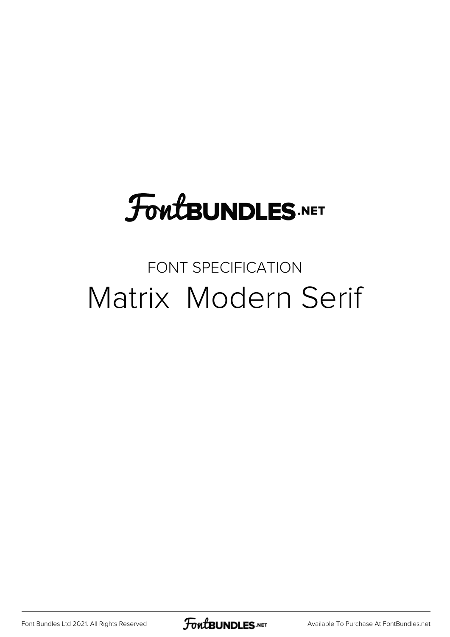# FoutBUNDLES.NET

#### FONT SPECIFICATION Matrix Modern Serif

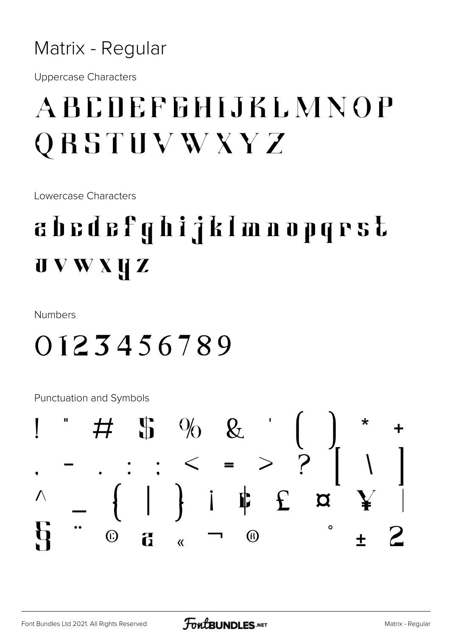#### Matrix - Regular

**Uppercase Characters** 

## **ABCOEFFHIJKLMNOP** QRSTUVWXYZ

Lowercase Characters

## abedefghijklmnopgrst  $\mathbf{U} \mathbf{V} \mathbf{W} \mathbf{X} \mathbf{U} \mathbf{Z}$

**Numbers** 

#### 0123456789

**Punctuation and Symbols** 

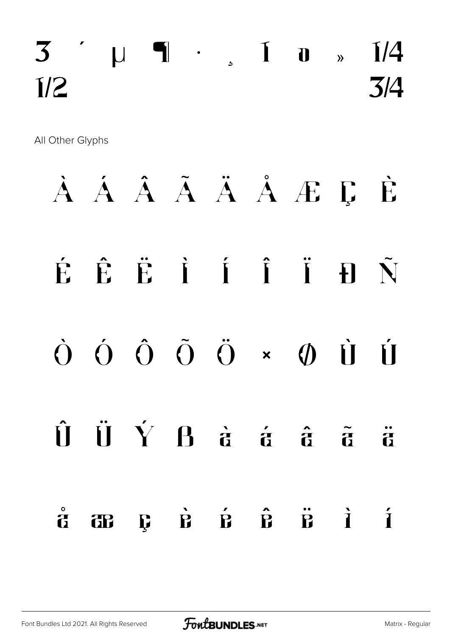## $3'$   $\mu$  1 ·  $\mu$  1  $\mu$   $\mu$  1  $\mu$  $\frac{1}{2}$   $\frac{3}{4}$

All Other Glyphs

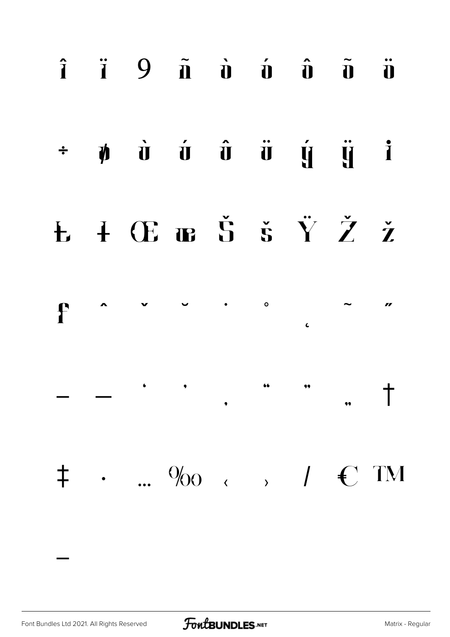